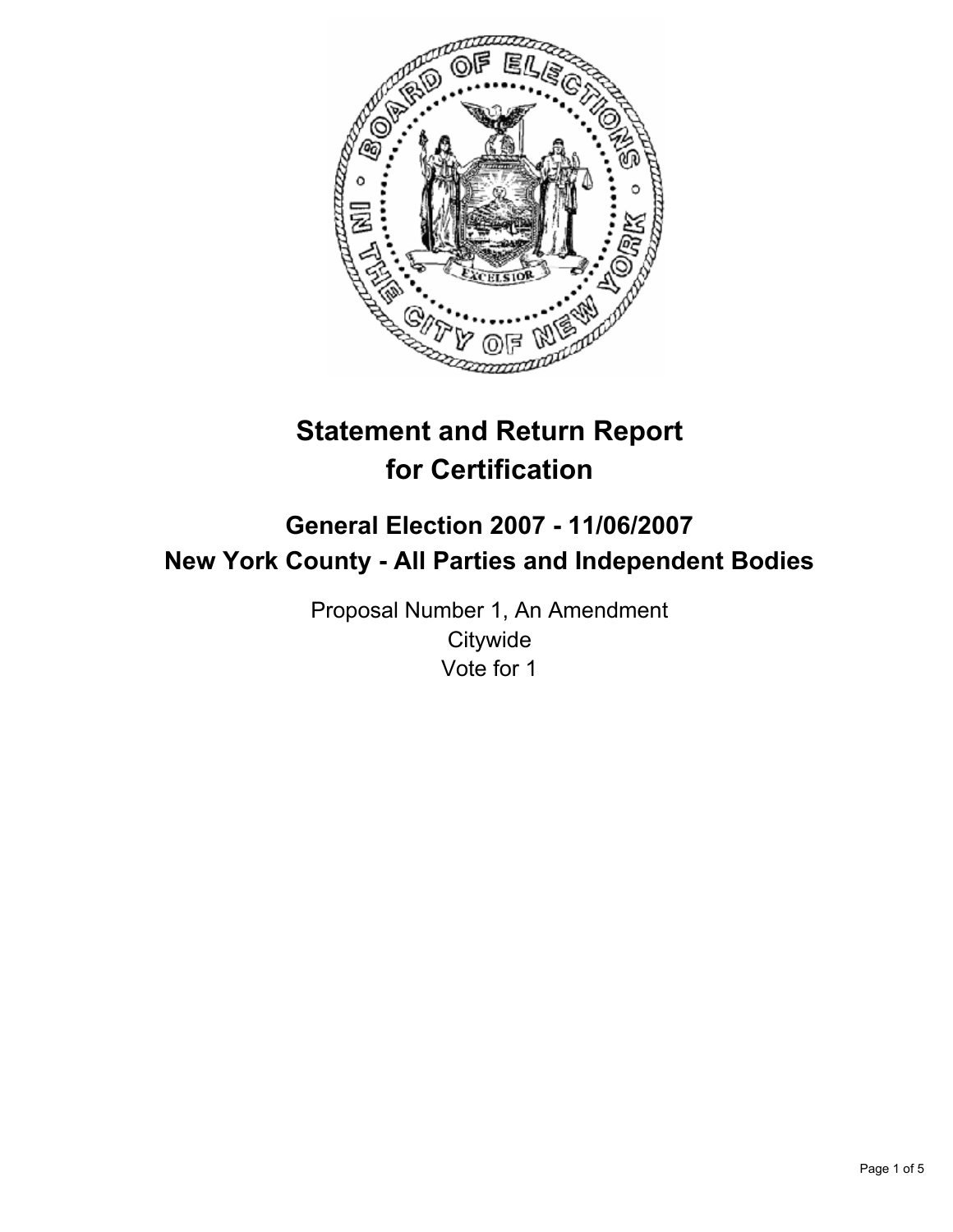

# **Statement and Return Report for Certification**

## **General Election 2007 - 11/06/2007 New York County - All Parties and Independent Bodies**

Proposal Number 1, An Amendment **Citywide** Vote for 1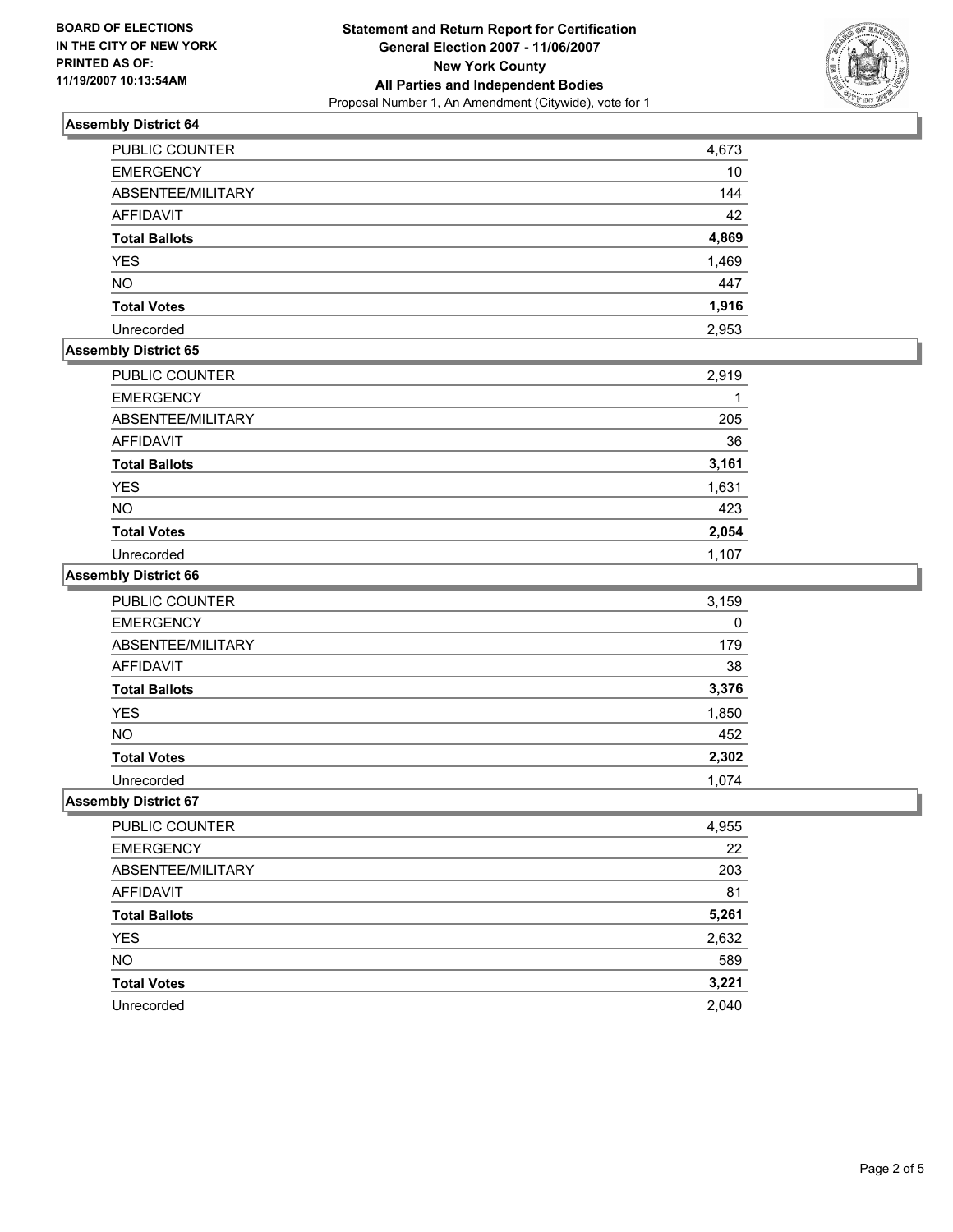

## **Assembly District 64**

| <b>PUBLIC COUNTER</b> | 4,673 |
|-----------------------|-------|
| <b>EMERGENCY</b>      | 10    |
| ABSENTEE/MILITARY     | 144   |
| AFFIDAVIT             | 42    |
| <b>Total Ballots</b>  | 4,869 |
| <b>YES</b>            | 1,469 |
| <b>NO</b>             | 447   |
| <b>Total Votes</b>    | 1,916 |
| Unrecorded            | 2,953 |

## **Assembly District 65**

| PUBLIC COUNTER       | 2,919 |
|----------------------|-------|
| <b>EMERGENCY</b>     |       |
| ABSENTEE/MILITARY    | 205   |
| AFFIDAVIT            | 36    |
| <b>Total Ballots</b> | 3,161 |
| <b>YES</b>           | 1,631 |
| <b>NO</b>            | 423   |
| <b>Total Votes</b>   | 2,054 |
| Unrecorded           | 1,107 |

#### **Assembly District 66**

| PUBLIC COUNTER       | 3,159 |
|----------------------|-------|
| <b>EMERGENCY</b>     | 0     |
| ABSENTEE/MILITARY    | 179   |
| AFFIDAVIT            | 38    |
| <b>Total Ballots</b> | 3,376 |
| <b>YES</b>           | 1,850 |
| <b>NO</b>            | 452   |
| <b>Total Votes</b>   | 2,302 |
| Unrecorded           | 1.074 |

## **Assembly District 67**

| <b>PUBLIC COUNTER</b> | 4,955 |
|-----------------------|-------|
| <b>EMERGENCY</b>      | 22    |
| ABSENTEE/MILITARY     | 203   |
| AFFIDAVIT             | 81    |
| <b>Total Ballots</b>  | 5,261 |
| <b>YES</b>            | 2,632 |
| <b>NO</b>             | 589   |
| <b>Total Votes</b>    | 3,221 |
| Unrecorded            | 2,040 |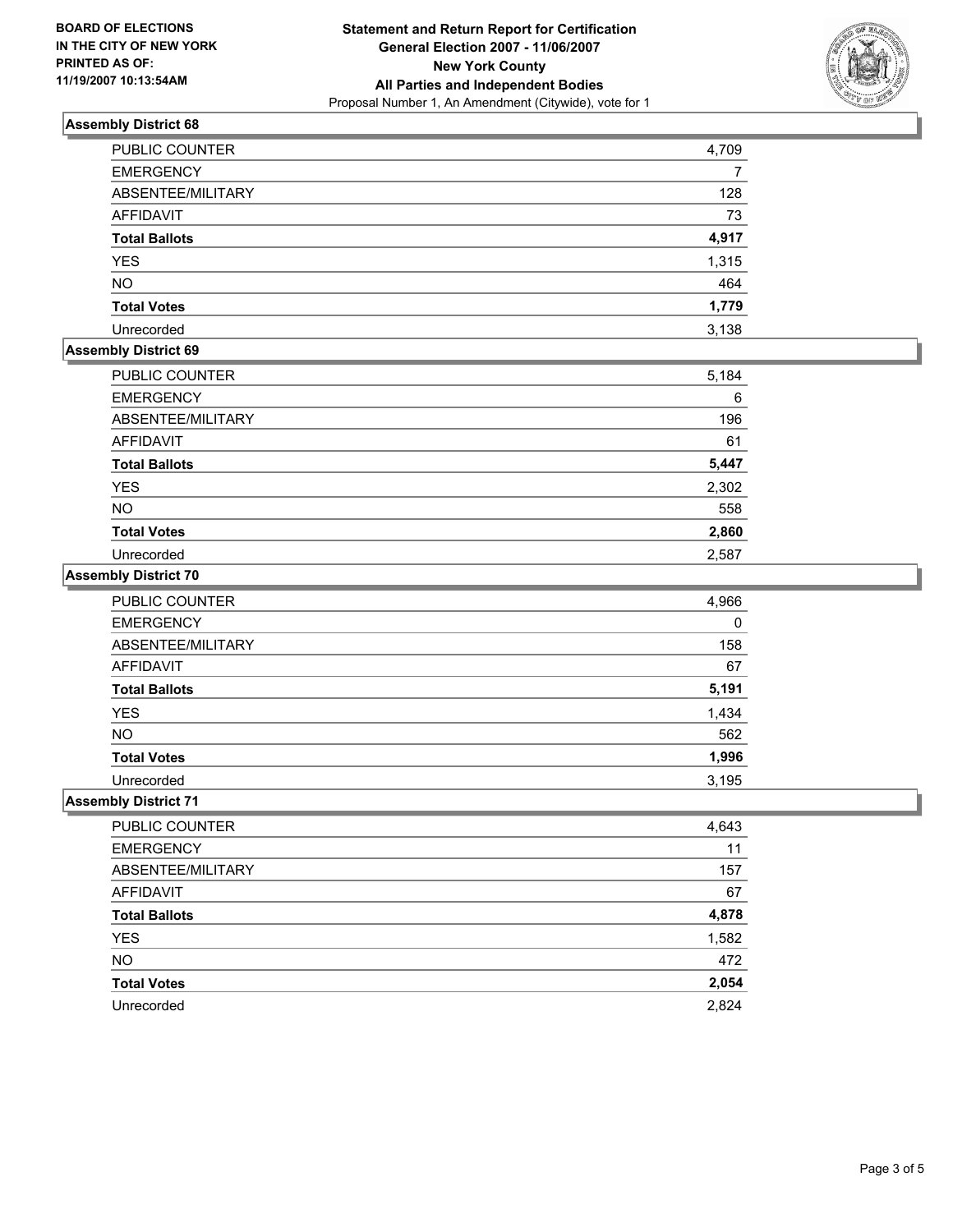

## **Assembly District 68**

| PUBLIC COUNTER       | 4,709 |
|----------------------|-------|
| <b>EMERGENCY</b>     |       |
| ABSENTEE/MILITARY    | 128   |
| <b>AFFIDAVIT</b>     | 73    |
| <b>Total Ballots</b> | 4,917 |
| <b>YES</b>           | 1,315 |
| <b>NO</b>            | 464   |
| <b>Total Votes</b>   | 1,779 |
| Unrecorded           | 3,138 |

## **Assembly District 69**

| PUBLIC COUNTER       | 5,184 |
|----------------------|-------|
| <b>EMERGENCY</b>     | 6     |
| ABSENTEE/MILITARY    | 196   |
| AFFIDAVIT            | 61    |
| <b>Total Ballots</b> | 5,447 |
| <b>YES</b>           | 2,302 |
| <b>NO</b>            | 558   |
| <b>Total Votes</b>   | 2,860 |
| Unrecorded           | 2,587 |

#### **Assembly District 70**

| PUBLIC COUNTER       | 4,966 |
|----------------------|-------|
| <b>EMERGENCY</b>     | 0     |
| ABSENTEE/MILITARY    | 158   |
| <b>AFFIDAVIT</b>     | 67    |
| <b>Total Ballots</b> | 5,191 |
| <b>YES</b>           | 1,434 |
| <b>NO</b>            | 562   |
| <b>Total Votes</b>   | 1,996 |
| Unrecorded           | 3,195 |

#### **Assembly District 71**

| PUBLIC COUNTER       | 4,643 |
|----------------------|-------|
| <b>EMERGENCY</b>     | 11    |
| ABSENTEE/MILITARY    | 157   |
| <b>AFFIDAVIT</b>     | 67    |
| <b>Total Ballots</b> | 4,878 |
| YES                  | 1,582 |
| <b>NO</b>            | 472   |
| <b>Total Votes</b>   | 2,054 |
| Unrecorded           | 2,824 |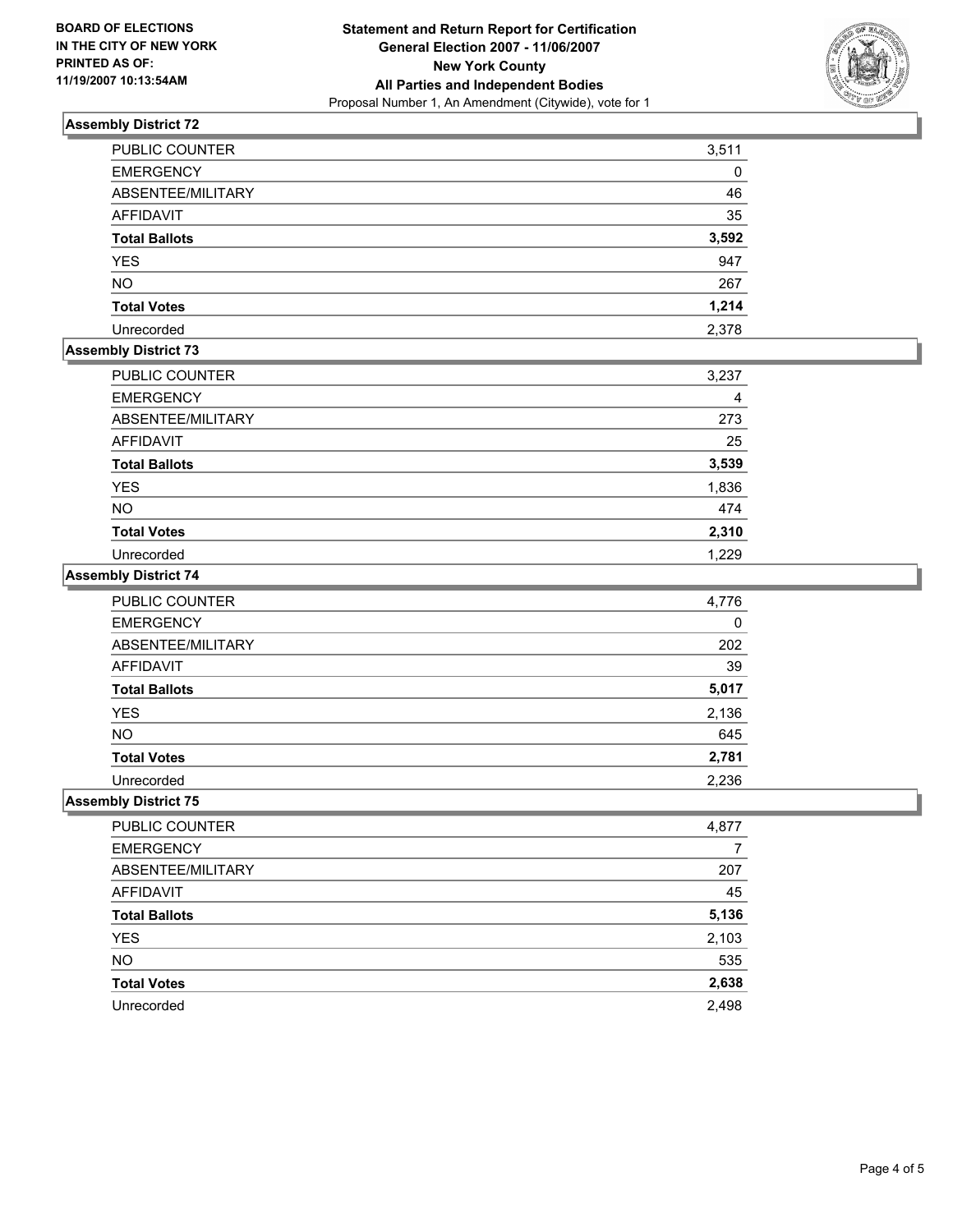

## **Assembly District 72**

| <b>PUBLIC COUNTER</b> | 3,511 |
|-----------------------|-------|
| <b>EMERGENCY</b>      |       |
| ABSENTEE/MILITARY     | 46    |
| AFFIDAVIT             | 35    |
| <b>Total Ballots</b>  | 3,592 |
| <b>YES</b>            | 947   |
| <b>NO</b>             | 267   |
| <b>Total Votes</b>    | 1,214 |
| Unrecorded            | 2,378 |

## **Assembly District 73**

| <b>PUBLIC COUNTER</b> | 3,237 |
|-----------------------|-------|
| <b>EMERGENCY</b>      |       |
| ABSENTEE/MILITARY     | 273   |
| AFFIDAVIT             | 25    |
| <b>Total Ballots</b>  | 3,539 |
| YES                   | 1,836 |
| <b>NO</b>             | 474   |
| <b>Total Votes</b>    | 2,310 |
| Unrecorded            | 1,229 |

#### **Assembly District 74**

| <b>PUBLIC COUNTER</b> | 4,776 |
|-----------------------|-------|
| <b>EMERGENCY</b>      | 0     |
| ABSENTEE/MILITARY     | 202   |
| <b>AFFIDAVIT</b>      | 39    |
| <b>Total Ballots</b>  | 5,017 |
| <b>YES</b>            | 2,136 |
| <b>NO</b>             | 645   |
| <b>Total Votes</b>    | 2,781 |
| Unrecorded            | 2,236 |

#### **Assembly District 75**

| PUBLIC COUNTER       | 4,877 |
|----------------------|-------|
| <b>EMERGENCY</b>     |       |
| ABSENTEE/MILITARY    | 207   |
| AFFIDAVIT            | 45    |
| <b>Total Ballots</b> | 5,136 |
| <b>YES</b>           | 2,103 |
| <b>NO</b>            | 535   |
| <b>Total Votes</b>   | 2,638 |
| Unrecorded           | 2,498 |